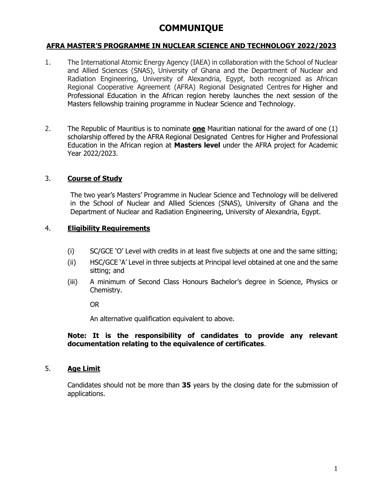# **COMMUNIQUE**

## **AFRA MASTER'S PROGRAMME IN NUCLEAR SCIENCE AND TECHNOLOGY 2022/2023**

- 1. The International Atomic Energy Agency (IAEA) in collaboration with the School of Nuclear and Allied Sciences (SNAS), University of Ghana and the Department of Nuclear and Radiation Engineering, University of Alexandria, Egypt, both recognized as African Regional Cooperative Agreement (AFRA) Regional Designated Centres for Higher and Professional Education in the African region hereby launches the next session of the Masters fellowship training programme in Nuclear Science and Technology.
- 2. The Republic of Mauritius is to nominate **one** Mauritian national for the award of one (1) scholarship offered by the AFRA Regional Designated Centres for Higher and Professional Education in the African region at **Masters level** under the AFRA project for Academic Year 2022/2023.

## 3. **Course of Study**

The two year's Masters' Programme in Nuclear Science and Technology will be delivered in the School of Nuclear and Allied Sciences (SNAS), University of Ghana and the Department of Nuclear and Radiation Engineering, University of Alexandria, Egypt.

#### 4. **Eligibility Requirements**

- (i) SC/GCE 'O' Level with credits in at least five subjects at one and the same sitting;
- (ii) HSC/GCE 'A' Level in three subjects at Principal level obtained at one and the same sitting; and
- (iii) A minimum of Second Class Honours Bachelor's degree in Science, Physics or Chemistry.

OR

An alternative qualification equivalent to above.

## **Note: It is the responsibility of candidates to provide any relevant documentation relating to the equivalence of certificates**.

#### 5. **Age Limit**

Candidates should not be more than **35** years by the closing date for the submission of applications.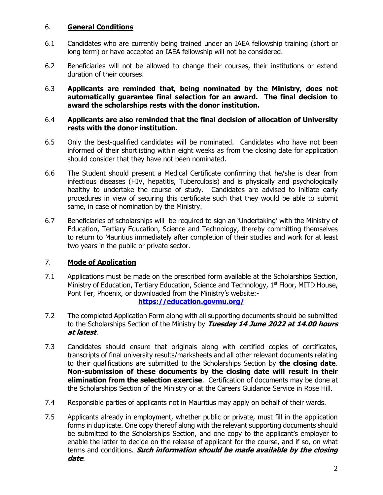## 6. **General Conditions**

- 6.1 Candidates who are currently being trained under an IAEA fellowship training (short or long term) or have accepted an IAEA fellowship will not be considered.
- 6.2 Beneficiaries will not be allowed to change their courses, their institutions or extend duration of their courses.
- 6.3 **Applicants are reminded that, being nominated by the Ministry, does not automatically guarantee final selection for an award. The final decision to award the scholarships rests with the donor institution.**

#### 6.4 **Applicants are also reminded that the final decision of allocation of University rests with the donor institution.**

- 6.5 Only the best-qualified candidates will be nominated. Candidates who have not been informed of their shortlisting within eight weeks as from the closing date for application should consider that they have not been nominated.
- 6.6 The Student should present a Medical Certificate confirming that he/she is clear from infectious diseases (HIV, hepatitis, Tuberculosis) and is physically and psychologically healthy to undertake the course of study. Candidates are advised to initiate early procedures in view of securing this certificate such that they would be able to submit same, in case of nomination by the Ministry.
- 6.7 Beneficiaries of scholarships will be required to sign an 'Undertaking' with the Ministry of Education, Tertiary Education, Science and Technology, thereby committing themselves to return to Mauritius immediately after completion of their studies and work for at least two years in the public or private sector.

## 7. **Mode of Application**

7.1 Applications must be made on the prescribed form available at the Scholarships Section, Ministry of Education, Tertiary Education, Science and Technology,  $1<sup>st</sup>$  Floor, MITD House, Pont Fer, Phoenix, or downloaded from the Ministry's website:-

## **<https://education.govmu.org/>**

- 7.2 The completed Application Form along with all supporting documents should be submitted to the Scholarships Section of the Ministry by **Tuesday 14 June 2022 at 14.00 hours at latest**.
- 7.3 Candidates should ensure that originals along with certified copies of certificates, transcripts of final university results/marksheets and all other relevant documents relating to their qualifications are submitted to the Scholarships Section by **the closing date**. **Non-submission of these documents by the closing date will result in their elimination from the selection exercise**. Certification of documents may be done at the Scholarships Section of the Ministry or at the Careers Guidance Service in Rose Hill.
- 7.4 Responsible parties of applicants not in Mauritius may apply on behalf of their wards.
- 7.5 Applicants already in employment, whether public or private, must fill in the application forms in duplicate. One copy thereof along with the relevant supporting documents should be submitted to the Scholarships Section, and one copy to the applicant's employer to enable the latter to decide on the release of applicant for the course, and if so, on what terms and conditions. **Such information should be made available by the closing date**.